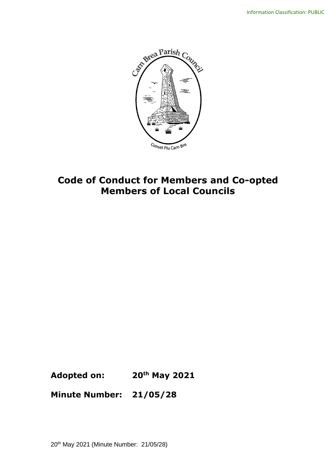

# **Code of Conduct for Members and Co-opted Members of Local Councils**

**Adopted on: 20th May 2021**

**Minute Number: 21/05/28**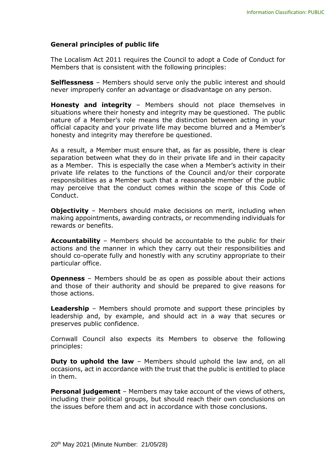#### **General principles of public life**

The Localism Act 2011 requires the Council to adopt a Code of Conduct for Members that is consistent with the following principles:

**Selflessness** – Members should serve only the public interest and should never improperly confer an advantage or disadvantage on any person.

**Honesty and integrity** – Members should not place themselves in situations where their honesty and integrity may be questioned. The public nature of a Member's role means the distinction between acting in your official capacity and your private life may become blurred and a Member's honesty and integrity may therefore be questioned.

As a result, a Member must ensure that, as far as possible, there is clear separation between what they do in their private life and in their capacity as a Member. This is especially the case when a Member's activity in their private life relates to the functions of the Council and/or their corporate responsibilities as a Member such that a reasonable member of the public may perceive that the conduct comes within the scope of this Code of Conduct.

**Objectivity** – Members should make decisions on merit, including when making appointments, awarding contracts, or recommending individuals for rewards or benefits.

**Accountability** – Members should be accountable to the public for their actions and the manner in which they carry out their responsibilities and should co-operate fully and honestly with any scrutiny appropriate to their particular office.

**Openness** – Members should be as open as possible about their actions and those of their authority and should be prepared to give reasons for those actions.

**Leadership** – Members should promote and support these principles by leadership and, by example, and should act in a way that secures or preserves public confidence.

Cornwall Council also expects its Members to observe the following principles:

**Duty to uphold the law** – Members should uphold the law and, on all occasions, act in accordance with the trust that the public is entitled to place in them.

**Personal judgement** – Members may take account of the views of others, including their political groups, but should reach their own conclusions on the issues before them and act in accordance with those conclusions.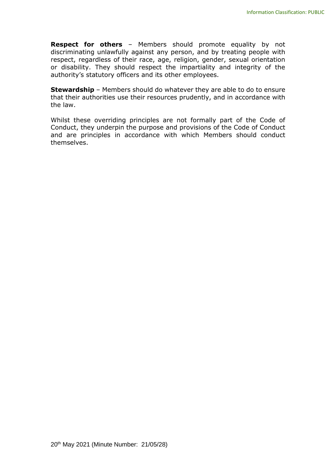**Respect for others** – Members should promote equality by not discriminating unlawfully against any person, and by treating people with respect, regardless of their race, age, religion, gender, sexual orientation or disability. They should respect the impartiality and integrity of the authority's statutory officers and its other employees.

**Stewardship** – Members should do whatever they are able to do to ensure that their authorities use their resources prudently, and in accordance with the law.

Whilst these overriding principles are not formally part of the Code of Conduct, they underpin the purpose and provisions of the Code of Conduct and are principles in accordance with which Members should conduct themselves.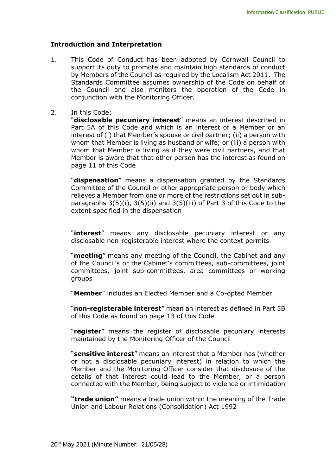#### **Introduction and Interpretation**

- 1. This Code of Conduct has been adopted by Cornwall Council to support its duty to promote and maintain high standards of conduct by Members of the Council as required by the Localism Act 2011. The Standards Committee assumes ownership of the Code on behalf of the Council and also monitors the operation of the Code in conjunction with the Monitoring Officer.
- 2. In this Code:

"**disclosable pecuniary interest**" means an interest described in Part 5A of this Code and which is an interest of a Member or an interest of (i) that Member's spouse or civil partner; (ii) a person with whom that Member is living as husband or wife; or (iii) a person with whom that Member is living as if they were civil partners, and that Member is aware that that other person has the interest as found on page 11 of this Code

"**dispensation**" means a dispensation granted by the Standards Committee of the Council or other appropriate person or body which relieves a Member from one or more of the restrictions set out in subparagraphs 3(5)(i), 3(5)(ii) and 3(5)(iii) of Part 3 of this Code to the extent specified in the dispensation

"**interest**" means any disclosable pecuniary interest or any disclosable non-registerable interest where the context permits

"**meeting**" means any meeting of the Council, the Cabinet and any of the Council's or the Cabinet's committees, sub-committees, joint committees, joint sub-committees, area committees or working groups

"**Member**" includes an Elected Member and a Co-opted Member

"**non-registerable interest**" mean an interest as defined in Part 5B of this Code as found on page 13 of this Code

"**register**" means the register of disclosable pecuniary interests maintained by the Monitoring Officer of the Council

"**sensitive interest**" means an interest that a Member has (whether or not a disclosable pecuniary interest) in relation to which the Member and the Monitoring Officer consider that disclosure of the details of that interest could lead to the Member, or a person connected with the Member, being subject to violence or intimidation

**"trade union"** means a trade union within the meaning of the Trade Union and Labour Relations (Consolidation) Act 1992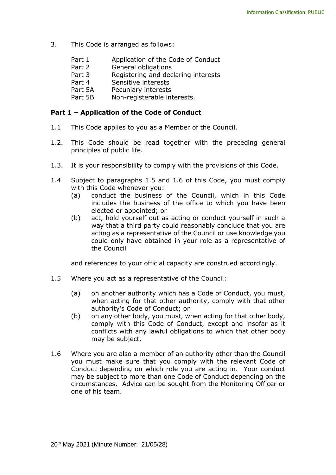- 3. This Code is arranged as follows:
	- Part 1 Application of the Code of Conduct
	- Part 2 General obligations
	- Part 3 Registering and declaring interests
	- Part 4 Sensitive interests
	- Part 5A Pecuniary interests
	- Part 5B Non-registerable interests.

#### **Part 1 – Application of the Code of Conduct**

- 1.1 This Code applies to you as a Member of the Council.
- 1.2. This Code should be read together with the preceding general principles of public life.
- 1.3. It is your responsibility to comply with the provisions of this Code.
- 1.4 Subject to paragraphs 1.5 and 1.6 of this Code, you must comply with this Code whenever you:
	- (a) conduct the business of the Council, which in this Code includes the business of the office to which you have been elected or appointed; or
	- (b) act, hold yourself out as acting or conduct yourself in such a way that a third party could reasonably conclude that you are acting as a representative of the Council or use knowledge you could only have obtained in your role as a representative of the Council

and references to your official capacity are construed accordingly.

- 1.5 Where you act as a representative of the Council:
	- (a) on another authority which has a Code of Conduct, you must, when acting for that other authority, comply with that other authority's Code of Conduct; or
	- (b) on any other body, you must, when acting for that other body, comply with this Code of Conduct, except and insofar as it conflicts with any lawful obligations to which that other body may be subject.
- 1.6 Where you are also a member of an authority other than the Council you must make sure that you comply with the relevant Code of Conduct depending on which role you are acting in. Your conduct may be subject to more than one Code of Conduct depending on the circumstances. Advice can be sought from the Monitoring Officer or one of his team.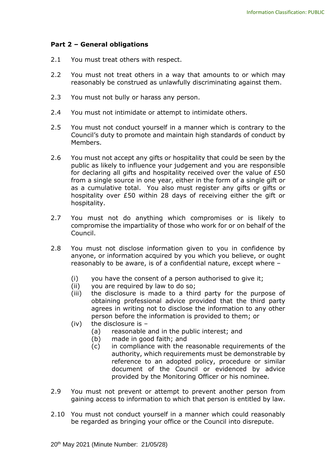#### **Part 2 – General obligations**

- 2.1 You must treat others with respect.
- 2.2 You must not treat others in a way that amounts to or which may reasonably be construed as unlawfully discriminating against them.
- 2.3 You must not bully or harass any person.
- 2.4 You must not intimidate or attempt to intimidate others.
- 2.5 You must not conduct yourself in a manner which is contrary to the Council's duty to promote and maintain high standards of conduct by Members.
- 2.6 You must not accept any gifts or hospitality that could be seen by the public as likely to influence your judgement and you are responsible for declaring all gifts and hospitality received over the value of £50 from a single source in one year, either in the form of a single gift or as a cumulative total. You also must register any gifts or gifts or hospitality over £50 within 28 days of receiving either the gift or hospitality.
- 2.7 You must not do anything which compromises or is likely to compromise the impartiality of those who work for or on behalf of the Council.
- 2.8 You must not disclose information given to you in confidence by anyone, or information acquired by you which you believe, or ought reasonably to be aware, is of a confidential nature, except where –
	- (i) you have the consent of a person authorised to give it;
	- (ii) you are required by law to do so;
	- (iii) the disclosure is made to a third party for the purpose of obtaining professional advice provided that the third party agrees in writing not to disclose the information to any other person before the information is provided to them; or
	- (iv) the disclosure is
		- (a) reasonable and in the public interest; and
		- (b) made in good faith; and
		- (c) in compliance with the reasonable requirements of the authority, which requirements must be demonstrable by reference to an adopted policy, procedure or similar document of the Council or evidenced by advice provided by the Monitoring Officer or his nominee.
- 2.9 You must not prevent or attempt to prevent another person from gaining access to information to which that person is entitled by law.
- 2.10 You must not conduct yourself in a manner which could reasonably be regarded as bringing your office or the Council into disrepute.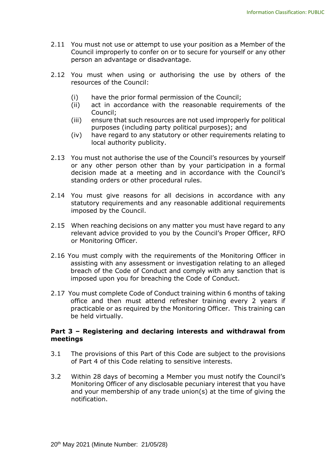- 2.11 You must not use or attempt to use your position as a Member of the Council improperly to confer on or to secure for yourself or any other person an advantage or disadvantage.
- 2.12 You must when using or authorising the use by others of the resources of the Council:
	- (i) have the prior formal permission of the Council;
	- (ii) act in accordance with the reasonable requirements of the Council;
	- (iii) ensure that such resources are not used improperly for political purposes (including party political purposes); and
	- (iv) have regard to any statutory or other requirements relating to local authority publicity.
- 2.13 You must not authorise the use of the Council's resources by yourself or any other person other than by your participation in a formal decision made at a meeting and in accordance with the Council's standing orders or other procedural rules.
- 2.14 You must give reasons for all decisions in accordance with any statutory requirements and any reasonable additional requirements imposed by the Council.
- 2.15 When reaching decisions on any matter you must have regard to any relevant advice provided to you by the Council's Proper Officer, RFO or Monitoring Officer.
- 2.16 You must comply with the requirements of the Monitoring Officer in assisting with any assessment or investigation relating to an alleged breach of the Code of Conduct and comply with any sanction that is imposed upon you for breaching the Code of Conduct.
- 2.17 You must complete Code of Conduct training within 6 months of taking office and then must attend refresher training every 2 years if practicable or as required by the Monitoring Officer. This training can be held virtually.

#### **Part 3 – Registering and declaring interests and withdrawal from meetings**

- 3.1 The provisions of this Part of this Code are subject to the provisions of Part 4 of this Code relating to sensitive interests.
- 3.2 Within 28 days of becoming a Member you must notify the Council's Monitoring Officer of any disclosable pecuniary interest that you have and your membership of any trade union(s) at the time of giving the notification.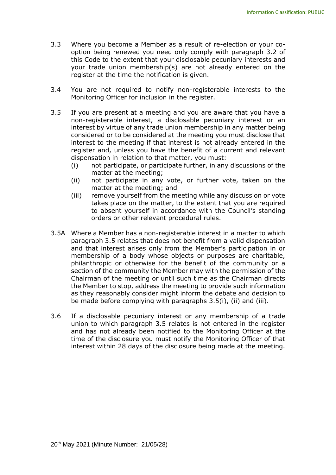- 3.3 Where you become a Member as a result of re-election or your cooption being renewed you need only comply with paragraph 3.2 of this Code to the extent that your disclosable pecuniary interests and your trade union membership(s) are not already entered on the register at the time the notification is given.
- 3.4 You are not required to notify non-registerable interests to the Monitoring Officer for inclusion in the register.
- 3.5 If you are present at a meeting and you are aware that you have a non-registerable interest, a disclosable pecuniary interest or an interest by virtue of any trade union membership in any matter being considered or to be considered at the meeting you must disclose that interest to the meeting if that interest is not already entered in the register and, unless you have the benefit of a current and relevant dispensation in relation to that matter, you must:
	- (i) not participate, or participate further, in any discussions of the matter at the meeting;
	- (ii) not participate in any vote, or further vote, taken on the matter at the meeting; and
	- (iii) remove yourself from the meeting while any discussion or vote takes place on the matter, to the extent that you are required to absent yourself in accordance with the Council's standing orders or other relevant procedural rules.
- 3.5A Where a Member has a non-registerable interest in a matter to which paragraph 3.5 relates that does not benefit from a valid dispensation and that interest arises only from the Member's participation in or membership of a body whose objects or purposes are charitable, philanthropic or otherwise for the benefit of the community or a section of the community the Member may with the permission of the Chairman of the meeting or until such time as the Chairman directs the Member to stop, address the meeting to provide such information as they reasonably consider might inform the debate and decision to be made before complying with paragraphs 3.5(i), (ii) and (iii).
- 3.6 If a disclosable pecuniary interest or any membership of a trade union to which paragraph 3.5 relates is not entered in the register and has not already been notified to the Monitoring Officer at the time of the disclosure you must notify the Monitoring Officer of that interest within 28 days of the disclosure being made at the meeting.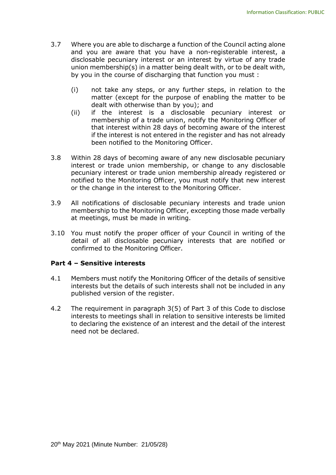- 3.7 Where you are able to discharge a function of the Council acting alone and you are aware that you have a non-registerable interest, a disclosable pecuniary interest or an interest by virtue of any trade union membership(s) in a matter being dealt with, or to be dealt with, by you in the course of discharging that function you must :
	- (i) not take any steps, or any further steps, in relation to the matter (except for the purpose of enabling the matter to be dealt with otherwise than by you); and
	- (ii) if the interest is a disclosable pecuniary interest or membership of a trade union, notify the Monitoring Officer of that interest within 28 days of becoming aware of the interest if the interest is not entered in the register and has not already been notified to the Monitoring Officer.
- 3.8 Within 28 days of becoming aware of any new disclosable pecuniary interest or trade union membership, or change to any disclosable pecuniary interest or trade union membership already registered or notified to the Monitoring Officer, you must notify that new interest or the change in the interest to the Monitoring Officer.
- 3.9 All notifications of disclosable pecuniary interests and trade union membership to the Monitoring Officer, excepting those made verbally at meetings, must be made in writing.
- 3.10 You must notify the proper officer of your Council in writing of the detail of all disclosable pecuniary interests that are notified or confirmed to the Monitoring Officer.

#### **Part 4 – Sensitive interests**

- 4.1 Members must notify the Monitoring Officer of the details of sensitive interests but the details of such interests shall not be included in any published version of the register.
- 4.2 The requirement in paragraph 3(5) of Part 3 of this Code to disclose interests to meetings shall in relation to sensitive interests be limited to declaring the existence of an interest and the detail of the interest need not be declared.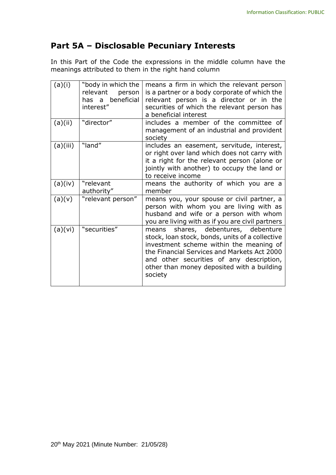## **Part 5A – Disclosable Pecuniary Interests**

In this Part of the Code the expressions in the middle column have the meanings attributed to them in the right hand column

| (a)(i)   | "body in which the<br>relevant<br>person<br>has a beneficial<br>interest" | means a firm in which the relevant person<br>is a partner or a body corporate of which the<br>relevant person is a director or in the<br>securities of which the relevant person has<br>a beneficial interest                                                                         |
|----------|---------------------------------------------------------------------------|---------------------------------------------------------------------------------------------------------------------------------------------------------------------------------------------------------------------------------------------------------------------------------------|
| (a)(ii)  | "director"                                                                | includes a member of the committee of<br>management of an industrial and provident<br>society                                                                                                                                                                                         |
| (a)(iii) | "land"                                                                    | includes an easement, servitude, interest,<br>or right over land which does not carry with<br>it a right for the relevant person (alone or<br>jointly with another) to occupy the land or<br>to receive income                                                                        |
| (a)(iv)  | "relevant<br>authority"                                                   | means the authority of which you are a<br>member                                                                                                                                                                                                                                      |
| (a)(v)   | "relevant person"                                                         | means you, your spouse or civil partner, a<br>person with whom you are living with as<br>husband and wife or a person with whom<br>you are living with as if you are civil partners                                                                                                   |
| (a)(vi)  | "securities"                                                              | means shares, debentures, debenture<br>stock, loan stock, bonds, units of a collective<br>investment scheme within the meaning of<br>the Financial Services and Markets Act 2000<br>and other securities of any description,<br>other than money deposited with a building<br>society |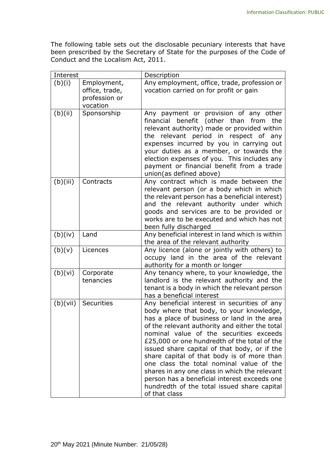The following table sets out the disclosable pecuniary interests that have been prescribed by the Secretary of State for the purposes of the Code of Conduct and the Localism Act, 2011.

| Interest |                                                            | Description                                                                                                                                                                                                                                                                                                                                                                                                                                                                                                                                                                                     |
|----------|------------------------------------------------------------|-------------------------------------------------------------------------------------------------------------------------------------------------------------------------------------------------------------------------------------------------------------------------------------------------------------------------------------------------------------------------------------------------------------------------------------------------------------------------------------------------------------------------------------------------------------------------------------------------|
| (b)(i)   | Employment,<br>office, trade,<br>profession or<br>vocation | Any employment, office, trade, profession or<br>vocation carried on for profit or gain                                                                                                                                                                                                                                                                                                                                                                                                                                                                                                          |
| (b)(ii)  | Sponsorship                                                | Any payment or provision of any other<br>financial benefit (other than from<br>the<br>relevant authority) made or provided within<br>the relevant period in respect of any<br>expenses incurred by you in carrying out<br>your duties as a member, or towards the<br>election expenses of you. This includes any<br>payment or financial benefit from a trade<br>union(as defined above)                                                                                                                                                                                                        |
| (b)(iii) | Contracts                                                  | Any contract which is made between the<br>relevant person (or a body which in which<br>the relevant person has a beneficial interest)<br>and the relevant authority under which<br>goods and services are to be provided or<br>works are to be executed and which has not<br>been fully discharged                                                                                                                                                                                                                                                                                              |
| (b)(iv)  | Land                                                       | Any beneficial interest in land which is within<br>the area of the relevant authority                                                                                                                                                                                                                                                                                                                                                                                                                                                                                                           |
| (b)(v)   | Licences                                                   | Any licence (alone or jointly with others) to<br>occupy land in the area of the relevant<br>authority for a month or longer                                                                                                                                                                                                                                                                                                                                                                                                                                                                     |
| (b)(vi)  | Corporate<br>tenancies                                     | Any tenancy where, to your knowledge, the<br>landlord is the relevant authority and the<br>tenant is a body in which the relevant person<br>has a beneficial interest                                                                                                                                                                                                                                                                                                                                                                                                                           |
| (b)(vii) | Securities                                                 | Any beneficial interest in securities of any<br>body where that body, to your knowledge,<br>has a place of business or land in the area<br>of the relevant authority and either the total<br>nominal value of the securities exceeds<br>£25,000 or one hundredth of the total of the<br>issued share capital of that body, or if the<br>share capital of that body is of more than<br>one class the total nominal value of the<br>shares in any one class in which the relevant<br>person has a beneficial interest exceeds one<br>hundredth of the total issued share capital<br>of that class |